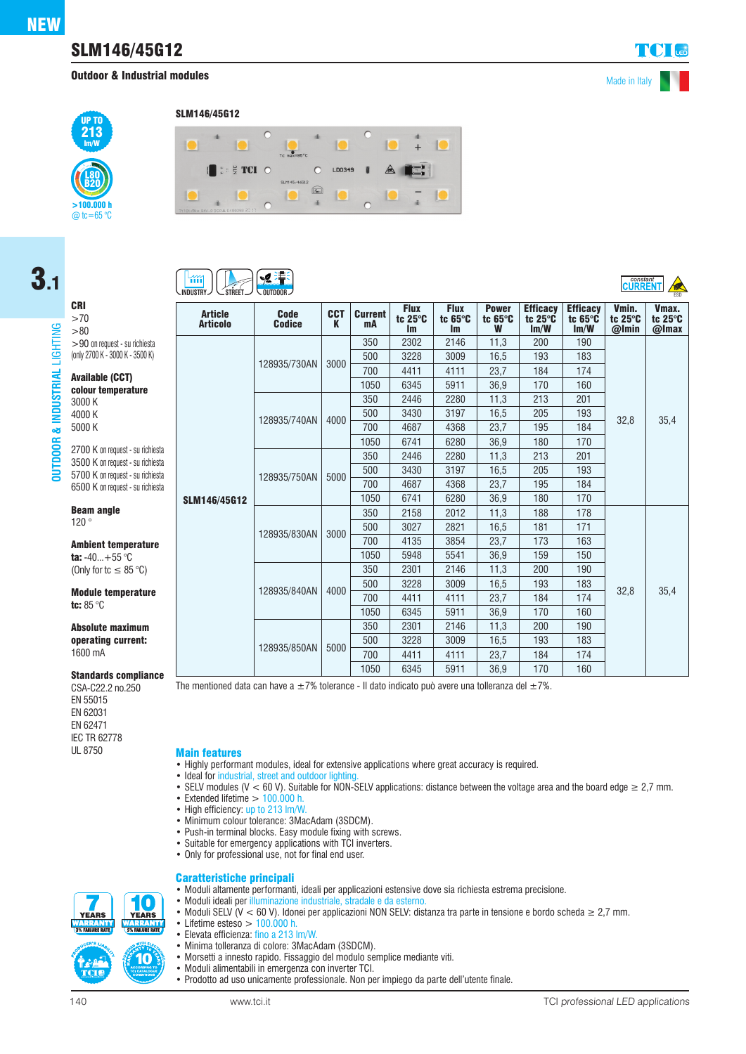3.1

CRI >70  $> 80$ 

3000 K 4000 K 5000 K

Beam angle 120 °

tc: 85 °C

1600 mA

>90 on request - su richiesta (only 2700 K - 3000 K - 3500 K) Available (CCT) colour temperature

2700 K on request - su richiesta 3500 K on request - su richiesta 5700 K on request - su richiesta 6500 K on request - su richiesta

Ambient temperature ta:  $-40...+55$  °C (Only for tc  $\leq 85$  °C) Module temperature

Absolute maximum operating current:

Standards compliance

**OUTDOOR & INDUSTRIAL** LIGHTING

& INDUS

**OUTDOOR** 

**ISTRIAL** 

LIGHTING

## SLM146/45G12

**Outdoor & Industrial modules** Made in Italy

 $C^{constant}$ 



#### SLM146/45G12



# íщ

| INDUSIRY $\vee$ $\cup$ sireli $\vee$ $\vee$ outdoor $\vee$<br>ESD |                              |                 |                      |                              |                                      |                                      |                                            |                                            |                                      |                           |
|-------------------------------------------------------------------|------------------------------|-----------------|----------------------|------------------------------|--------------------------------------|--------------------------------------|--------------------------------------------|--------------------------------------------|--------------------------------------|---------------------------|
| <b>Article</b><br><b>Articolo</b>                                 | <b>Code</b><br><b>Codice</b> | <b>CCT</b><br>K | <b>Current</b><br>mA | <b>Flux</b><br>tc 25°C<br>Im | <b>Flux</b><br>tc $65^\circ C$<br>Im | <b>Power</b><br>tc $65^\circ C$<br>W | <b>Efficacy</b><br>tc $25^\circ$ C<br>Im/W | <b>Efficacy</b><br>tc $65^\circ C$<br>Im/W | Vmin.<br>tc $25^\circ C$<br>$@$ Imin | Vmax.<br>tc 25°C<br>@Imax |
|                                                                   | 128935/730AN                 | 3000            | 350                  | 2302                         | 2146                                 | 11,3                                 | 200                                        | 190                                        | 32,8                                 | 35,4                      |
|                                                                   |                              |                 | 500                  | 3228                         | 3009                                 | 16.5                                 | 193                                        | 183                                        |                                      |                           |
|                                                                   |                              |                 | 700                  | 4411                         | 4111                                 | 23,7                                 | 184                                        | 174                                        |                                      |                           |
|                                                                   |                              |                 | 1050                 | 6345                         | 5911                                 | 36,9                                 | 170                                        | 160                                        |                                      |                           |
|                                                                   |                              | 4000            | 350                  | 2446                         | 2280                                 | 11.3                                 | 213                                        | 201                                        |                                      |                           |
|                                                                   | 128935/740AN                 |                 | 500                  | 3430                         | 3197                                 | 16,5                                 | 205                                        | 193                                        |                                      |                           |
|                                                                   |                              |                 | 700                  | 4687                         | 4368                                 | 23,7                                 | 195                                        | 184                                        |                                      |                           |
|                                                                   |                              |                 | 1050                 | 6741                         | 6280                                 | 36,9                                 | 180                                        | 170                                        |                                      |                           |
|                                                                   | 128935/750AN                 | 5000            | 350                  | 2446                         | 2280                                 | 11.3                                 | 213                                        | 201                                        |                                      |                           |
|                                                                   |                              |                 | 500                  | 3430                         | 3197                                 | 16,5                                 | 205                                        | 193                                        |                                      |                           |
|                                                                   |                              |                 | 700                  | 4687                         | 4368                                 | 23,7                                 | 195                                        | 184                                        |                                      |                           |
| <b>SLM146/45G12</b>                                               |                              |                 | 1050                 | 6741                         | 6280                                 | 36,9                                 | 180                                        | 170                                        |                                      |                           |
|                                                                   | 128935/830AN                 | 3000            | 350                  | 2158                         | 2012                                 | 11,3                                 | 188                                        | 178                                        | 32,8                                 | 35,4                      |
|                                                                   |                              |                 | 500                  | 3027                         | 2821                                 | 16,5                                 | 181                                        | 171                                        |                                      |                           |
|                                                                   |                              |                 | 700                  | 4135                         | 3854                                 | 23,7                                 | 173                                        | 163                                        |                                      |                           |
|                                                                   |                              |                 | 1050                 | 5948                         | 5541                                 | 36,9                                 | 159                                        | 150                                        |                                      |                           |
|                                                                   | 128935/840AN                 | 4000            | 350                  | 2301                         | 2146                                 | 11,3                                 | 200                                        | 190                                        |                                      |                           |
|                                                                   |                              |                 | 500                  | 3228                         | 3009                                 | 16,5                                 | 193                                        | 183                                        |                                      |                           |
|                                                                   |                              |                 | 700                  | 4411                         | 4111                                 | 23,7                                 | 184                                        | 174                                        |                                      |                           |
|                                                                   |                              |                 | 1050                 | 6345                         | 5911                                 | 36.9                                 | 170                                        | 160                                        |                                      |                           |
|                                                                   |                              | 5000            | 350                  | 2301                         | 2146                                 | 11,3                                 | 200                                        | 190                                        |                                      |                           |
|                                                                   | 128935/850AN                 |                 | 500                  | 3228                         | 3009                                 | 16.5                                 | 193                                        | 183                                        |                                      |                           |
|                                                                   |                              |                 | 700                  | 4411                         | 4111                                 | 23,7                                 | 184                                        | 174                                        |                                      |                           |
|                                                                   |                              |                 | 1050                 | 6345                         | 5911                                 | 36.9                                 | 170                                        | 160                                        |                                      |                           |

The mentioned data can have a  $\pm 7\%$  tolerance - Il dato indicato può avere una tolleranza del  $\pm 7\%$ .

CSA-C22.2 no.250 EN 55015 EN 62031 EN 62471 **IEC TR 62778**<br>UI 8750

**Main features** 

- Highly performant modules, ideal for extensive applications where great accuracy is required.
- Ideal for industrial, street and outdoor lighting
- SELV modules (V < 60 V). Suitable for NON-SELV applications: distance between the voltage area and the board edge  $\geq 2.7$  mm.

• Moduli SELV (V < 60 V). Idonei per applicazioni NON SELV: distanza tra parte in tensione e bordo scheda ≥ 2,7 mm.

- Extended lifetime  $> 100.000$  h.
- High efficiency: up to 213 lm/W.
- Minimum colour tolerance: 3MacAdam (3SDCM).
- Push-in terminal blocks. Easy module fixing with screws.
- Suitable for emergency applications with TCI inverters.
- Only for professional use, not for final end user.

#### Caratteristiche principali • Moduli altamente performanti, ideali per applicazioni estensive dove sia richiesta estrema precisione.



- Lifetime esteso  $> 100.000$  h.<br>• Elevata efficienza: fino a 213 l • Elevata efficienza: fino a 213 lm/W.
	- Minima tolleranza di colore: 3MacAdam (3SDCM).
	- Morsetti a innesto rapido. Fissaggio del modulo semplice mediante viti.

• Moduli ideali per illuminazione industriale, stradale e da esterno.

- Moduli alimentabili in emergenza con inverter TCI.
- Prodotto ad uso unicamente professionale. Non per impiego da parte dell'utente finale.